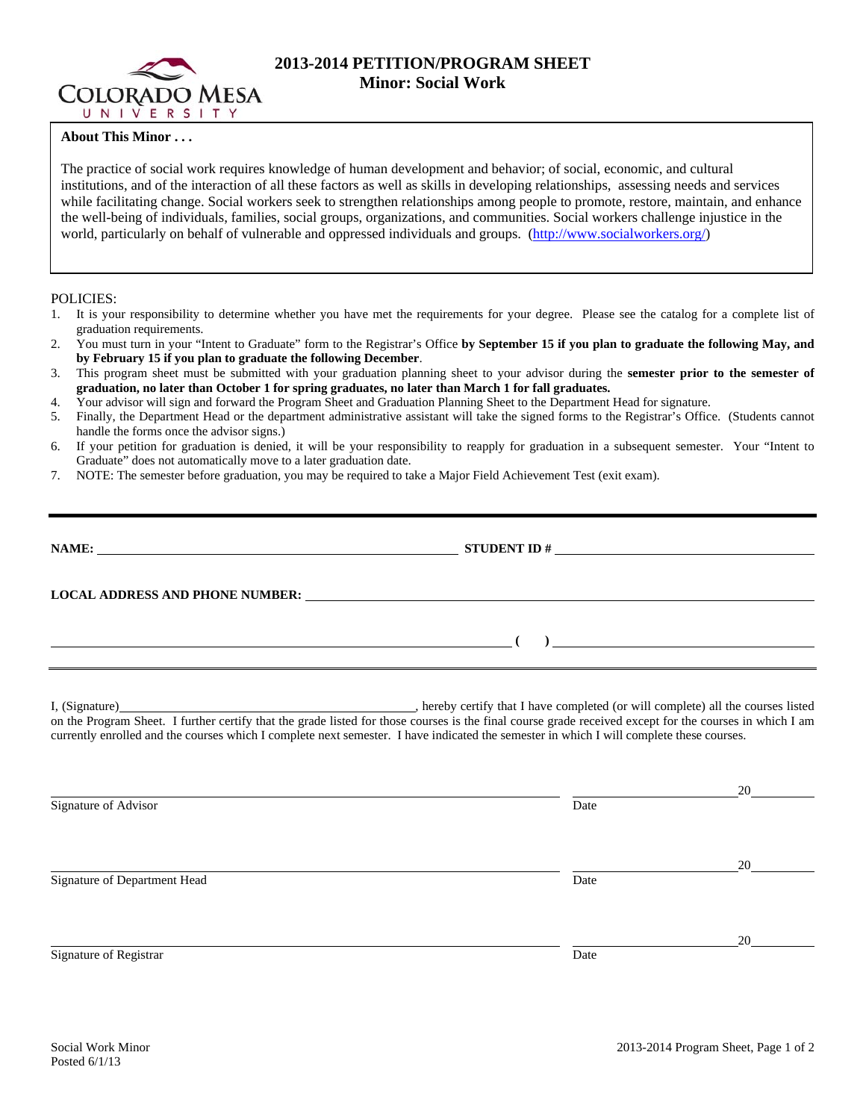

# **2013-2014 PETITION/PROGRAM SHEET Minor: Social Work**

## **About This Minor . . .**

The practice of social work requires knowledge of human development and behavior; of social, economic, and cultural institutions, and of the interaction of all these factors as well as skills in developing relationships, assessing needs and services while facilitating change. Social workers seek to strengthen relationships among people to promote, restore, maintain, and enhance the well-being of individuals, families, social groups, organizations, and communities. Social workers challenge injustice in the world, particularly on behalf of vulnerable and oppressed individuals and groups. (http://www.socialworkers.org/)

#### POLICIES:

- 1. It is your responsibility to determine whether you have met the requirements for your degree. Please see the catalog for a complete list of graduation requirements.
- 2. You must turn in your "Intent to Graduate" form to the Registrar's Office **by September 15 if you plan to graduate the following May, and by February 15 if you plan to graduate the following December**.
- 3. This program sheet must be submitted with your graduation planning sheet to your advisor during the **semester prior to the semester of graduation, no later than October 1 for spring graduates, no later than March 1 for fall graduates.**
- 4. Your advisor will sign and forward the Program Sheet and Graduation Planning Sheet to the Department Head for signature.
- 5. Finally, the Department Head or the department administrative assistant will take the signed forms to the Registrar's Office. (Students cannot handle the forms once the advisor signs.)
- 6. If your petition for graduation is denied, it will be your responsibility to reapply for graduation in a subsequent semester. Your "Intent to Graduate" does not automatically move to a later graduation date.
- 7. NOTE: The semester before graduation, you may be required to take a Major Field Achievement Test (exit exam).

|                                                                                                                                          | LOCAL ADDRESS AND PHONE NUMBER: Under the contract of the contract of the contract of the contract of the contract of the contract of the contract of the contract of the contract of the contract of the contract of the cont                                                                             |  |
|------------------------------------------------------------------------------------------------------------------------------------------|------------------------------------------------------------------------------------------------------------------------------------------------------------------------------------------------------------------------------------------------------------------------------------------------------------|--|
|                                                                                                                                          | $\overline{a}$ ( ) and $\overline{a}$ ( ) and $\overline{a}$ ( ) and $\overline{a}$ ( ) and $\overline{a}$ ( ) and $\overline{a}$ ( ) and $\overline{a}$ ( ) and $\overline{a}$ ( ) and $\overline{a}$ ( ) and $\overline{a}$ ( ) and $\overline{a}$ ( ) and $\overline{a}$ ( ) and $\overline{a}$ ( ) and |  |
| currently enrolled and the courses which I complete next semester. I have indicated the semester in which I will complete these courses. | on the Program Sheet. I further certify that the grade listed for those courses is the final course grade received except for the courses in which I am                                                                                                                                                    |  |

|                              |      | 20 |
|------------------------------|------|----|
| Signature of Advisor         | Date |    |
|                              |      |    |
|                              |      |    |
|                              |      | 20 |
| Signature of Department Head | Date |    |
|                              |      |    |
|                              |      |    |
|                              |      | 20 |
| Signature of Registrar       | Date |    |
|                              |      |    |